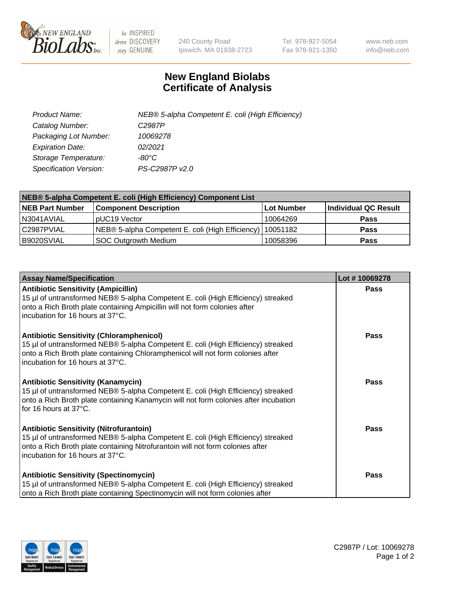

 $be$  INSPIRED drive DISCOVERY stay GENUINE

240 County Road Ipswich, MA 01938-2723 Tel 978-927-5054 Fax 978-921-1350 www.neb.com info@neb.com

## **New England Biolabs Certificate of Analysis**

| Product Name:                 | NEB® 5-alpha Competent E. coli (High Efficiency) |
|-------------------------------|--------------------------------------------------|
| Catalog Number:               | C <sub>2987</sub> P                              |
| Packaging Lot Number:         | 10069278                                         |
| <b>Expiration Date:</b>       | 02/2021                                          |
| Storage Temperature:          | -80°C                                            |
| <b>Specification Version:</b> | PS-C2987P v2.0                                   |

| NEB® 5-alpha Competent E. coli (High Efficiency) Component List |                                                             |            |                      |  |
|-----------------------------------------------------------------|-------------------------------------------------------------|------------|----------------------|--|
| <b>NEB Part Number</b>                                          | <b>Component Description</b>                                | Lot Number | Individual QC Result |  |
| N3041AVIAL                                                      | pUC19 Vector                                                | 10064269   | <b>Pass</b>          |  |
| C2987PVIAL                                                      | NEB® 5-alpha Competent E. coli (High Efficiency)   10051182 |            | <b>Pass</b>          |  |
| B9020SVIAL                                                      | <b>SOC Outgrowth Medium</b>                                 | 10058396   | <b>Pass</b>          |  |

| <b>Assay Name/Specification</b>                                                                                                                                                                                                                            | Lot #10069278 |
|------------------------------------------------------------------------------------------------------------------------------------------------------------------------------------------------------------------------------------------------------------|---------------|
| <b>Antibiotic Sensitivity (Ampicillin)</b><br>15 µl of untransformed NEB® 5-alpha Competent E. coli (High Efficiency) streaked<br>onto a Rich Broth plate containing Ampicillin will not form colonies after<br>incubation for 16 hours at 37°C.           | <b>Pass</b>   |
| <b>Antibiotic Sensitivity (Chloramphenicol)</b><br>15 µl of untransformed NEB® 5-alpha Competent E. coli (High Efficiency) streaked<br>onto a Rich Broth plate containing Chloramphenicol will not form colonies after<br>incubation for 16 hours at 37°C. | Pass          |
| <b>Antibiotic Sensitivity (Kanamycin)</b><br>15 µl of untransformed NEB® 5-alpha Competent E. coli (High Efficiency) streaked<br>onto a Rich Broth plate containing Kanamycin will not form colonies after incubation<br>for 16 hours at 37°C.             | Pass          |
| <b>Antibiotic Sensitivity (Nitrofurantoin)</b><br>15 µl of untransformed NEB® 5-alpha Competent E. coli (High Efficiency) streaked<br>onto a Rich Broth plate containing Nitrofurantoin will not form colonies after<br>incubation for 16 hours at 37°C.   | <b>Pass</b>   |
| <b>Antibiotic Sensitivity (Spectinomycin)</b><br>15 µl of untransformed NEB® 5-alpha Competent E. coli (High Efficiency) streaked<br>onto a Rich Broth plate containing Spectinomycin will not form colonies after                                         | Pass          |